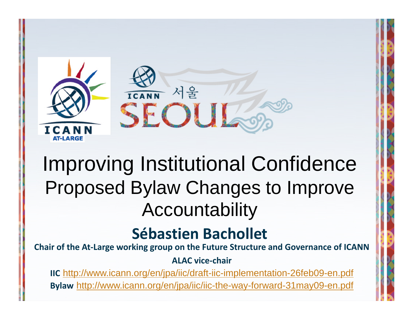

#### Improving Institutional Confidence Proposed Bylaw Changes to Improve Accountability

#### **Sébastien Bachollet**

**Chair of the At‐Large working group on the Future Structure and Governance of ICANN**

**ALAC vice‐chair**

**IIC** <http://www.icann.org/en/jpa/iic/draft-iic-implementation-26feb09-en.pdf> **Bylaw** <http://www.icann.org/en/jpa/iic/iic-the-way-forward-31may09-en.pdf>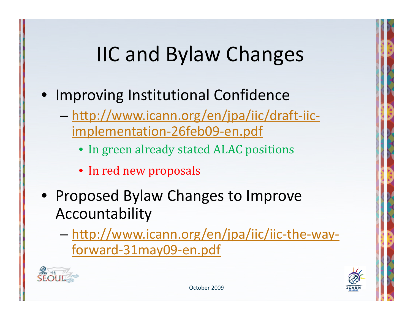# IIC and Bylaw Changes

- Improving Institutional Confidence
	- [http://www.icann.org/en/jpa/iic/draft](http://www.icann.org/en/jpa/iic/draft-iic-implementation-26feb09-en.pdf)‐iic‐ [implementation](http://www.icann.org/en/jpa/iic/draft-iic-implementation-26feb09-en.pdf)‐26feb09‐en.pdf
		- In green already stated ALAC positions
		- In red new proposals
- Proposed Bylaw Changes to Improve Accountability
	- [http://www.icann.org/en/jpa/iic/iic](http://www.icann.org/en/jpa/iic/iic-the-way-forward-31may09-en.pdf)‐the‐way‐ forward‐[31may09](http://www.icann.org/en/jpa/iic/iic-the-way-forward-31may09-en.pdf)‐en.pdf



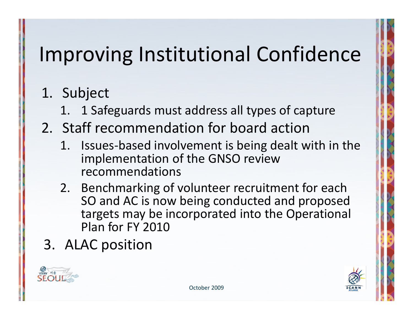- 1. Subject
	- 1.1 Safeguards must address all types of capture
- 2. Staff recommendation for board action
	- 1. Issues‐based involvement is being dealt with in the implementation of the GNSO review recommendations
	- 2. Benchmarking of volunteer recruitment for each SO and AC is now being conducted and proposed targets may be incorporated into the Operational Plan for FY 2010
- 3. ALAC position



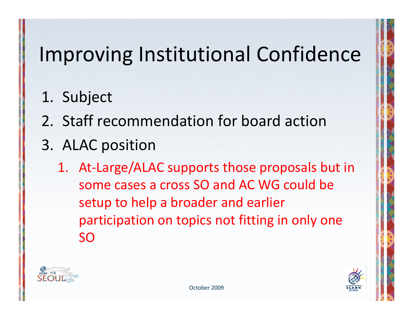- 1. Subject
- 2. Staff recommendation for board action
- 3. ALAC position
	- 1. At‐Large/ALAC supports those proposals but in some cases a cross SO and AC WG could be setup to help <sup>a</sup> broader and earlier participation on topics not fitting in only one SO



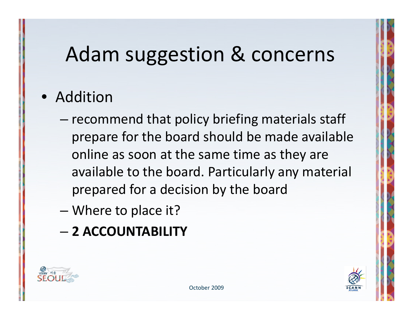#### • Addition

- –– recommend that policy briefing materials staff prepare for the board should be made available online as soon at the same time as they are available to the board. Particularly any material prepared for <sup>a</sup> decision by the board
- –Where to place it?
- **2 ACCOUNTABILITY**



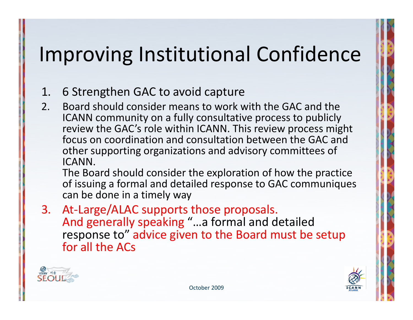#### 1.6 Strengthen GAC to avoid capture

2. Board should consider means to work with the GAC and the ICANN community on <sup>a</sup> fully consultative process to publicly review the GAC's role within ICANN. This review process might focus on coordination and consultation between the GAC and other supporting organizations and advisory committees of ICANN.

The Board should consider the exploration of how the practice of issuing <sup>a</sup> formal and detailed response to GAC communiques can be done in <sup>a</sup> timely way

3. At‐Large/ALAC supports those proposals. And generally speaking "…a formal and detailed response to" advice given to the Board must be setup for all the ACs



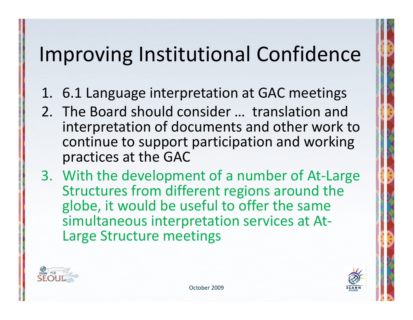- 1. 6.1 Language interpretation at GAC meetings
- 2. The Board should consider … translation and interpretation of documents and other work to continue to support participation and working practices at the GAC
- 3. With the development of <sup>a</sup> number of At‐Large Structures from different regions around the globe, it would be useful to offer the same simultaneous interpretation services at At‐ Large Structure meetings



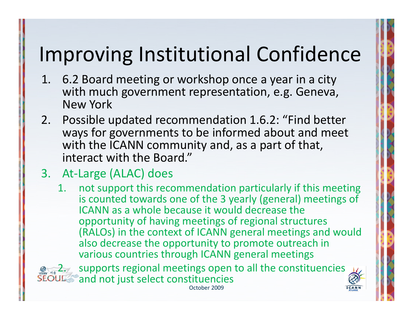- 1. 6.2 Board meeting or workshop once a year in a city with much government representation, e.g. Geneva, New York
- 2. Possible updated recommendation 1.6.2: "Find better ways for governments to be informed about and meet with the ICANN community and, as a part of that, interact with the Board."
- 3. At ‐Large (ALAC) does
	- 1. not support this recommendation particularly if this meeting is counted towards one of the 3 yearly (general) meetings of ICANN as a whole because it would decrease the opportunity of having meetings of regional structures (RALOs) in the context of ICANN general meetings and would also decrease the opportunity to promote outreach in various countries through ICANN general meetings

2, $\mathbb{Z}_n$  supports regional meetings open to all the constituencies and not just select constituencies October 2009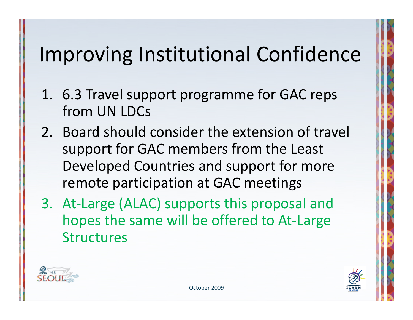- 1. 6.3 Travel support programme for GAC reps from UN LDCs
- 2. Board should consider the extension of travel support for GAC members from the Least Developed Countries and support for more remote participation at GAC meetings
- 3. At‐Large (ALAC) supports this proposal and hopes the same will be offered to At‐Large **Structures**



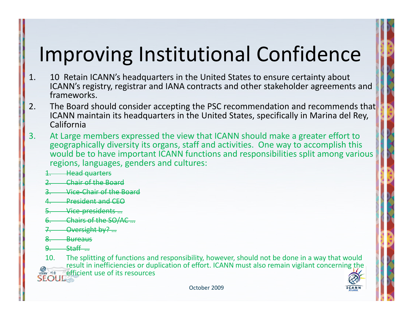- 1. 10 Retain ICANN's headquarters in the United States to ensure certainty about ICANN's registry, registrar and IANA contracts and other stakeholder agreements and frameworks.
- 2. The Board should consider accepting the PSC recommendation and recommends that ICANN maintain its headquarters in the United States, specifically in Marina del Rey, California
- 3. At Large members expressed the view that ICANN should make <sup>a</sup> greater effort to geographically diversity its organs, staff and activities. One way to accomplish this would be to have important ICANN functions and responsibilities split among various regions, languages, genders and cultures:
	- 1.Head quarters
	- 2.Chair of the Board
	- 3.Vice‐Chair of the Board
	- 4.President and CEO
	- 5.Vice‐presidents …
	- 6.Chairs of the SO/AC …
	- 7.Oversight by? …
	- 8.**Bureaus**
	- $\mathbf{Q}_ S$ taff $\qquad$ …

10. The splitting of functions and responsibility, however, should not be done in <sup>a</sup> way that would result in inefficiencies or duplication of effort. ICANN must also remain vigilant concerning the efficient use of its resources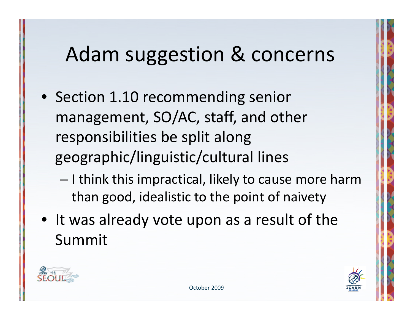- Section 1.10 recommending senior management, SO/AC, staff, and other responsibilities be split along geographic/linguistic/cultural lines
	- – $-$  I think this impractical, likely to cause more harm than good, idealistic to the point of naivety
- It was already vote upon as <sup>a</sup> result of the Summit



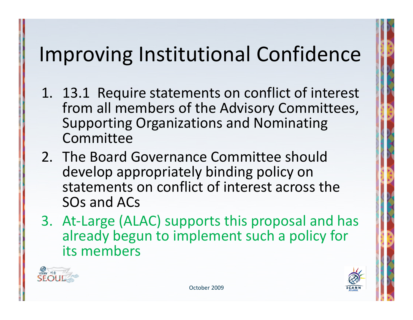- 1. 13.1 Require statements on conflict of interest from all members of the Advisory Committees, Supporting Organizations and Nominating Committee
- 2. The Board Governance Committee should develop appropriately binding policy on statements on conflict of interest across the SOs and ACs
- 3. At‐Large (ALAC) supports this proposal and has already begun to implement such <sup>a</sup> policy for its members



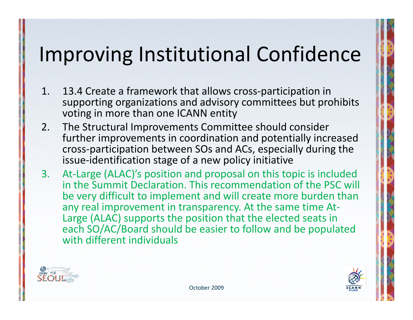- 1. 13.4 Create <sup>a</sup> framework that allows cross‐participation in supporting organizations and advisory committees but prohibits voting in more than one ICANN entity
- 2. The Structural Improvements Committee should consider further improvements in coordination and potentially increased cross‐participation between SOs and ACs, especially during the issue‐identification stage of <sup>a</sup> new policy initiative
- 3. At‐Large (ALAC)'s position and proposal on this topic is included in the Summit Declaration. This recommendation of the PSC will be very difficult to implement and will create more burden than any real improvement in transparency. At the same time At‐ Large (ALAC) supports the position that the elected seats in each SO/AC/Board should be easier to follow and be populated with different individuals



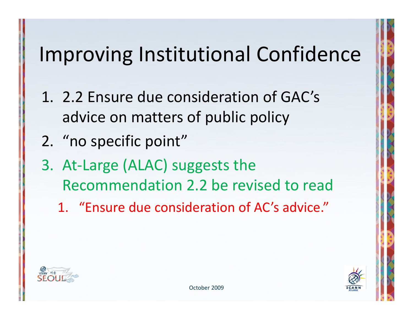- 1. 2.2 Ensure due consideration of GAC's advice on matters of public policy
- 2. "no specific point"
- 3. At‐Large (ALAC) suggests the Recommendation 2.2 be revised to read
	- 1. "Ensure due consideration of AC's advice."



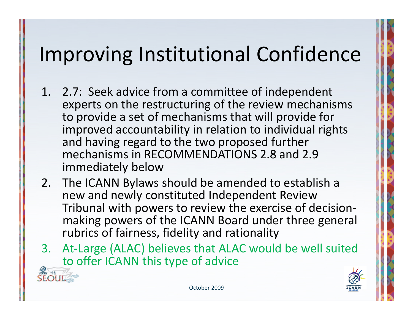- 1. 2.7: Seek advice from <sup>a</sup> committee of independent experts on the restructuring of the review mechanisms to provide <sup>a</sup> set of mechanisms that will provide for improved accountability in relation to individual rights and having regard to the two proposed further mechanisms in RECOMMENDATIONS 2.8 and 2.9 immediately below
- 2. The ICANN Bylaws should be amended to establish <sup>a</sup> new and newly constituted Independent Review Tribunal with powers to review the exercise of decision‐ making powers of the ICANN Board under three general rubrics of fairness, fidelity and rationality
- 3.At-Large (ALAC) believes that ALAC would be well suited to offer ICANN this type of advice

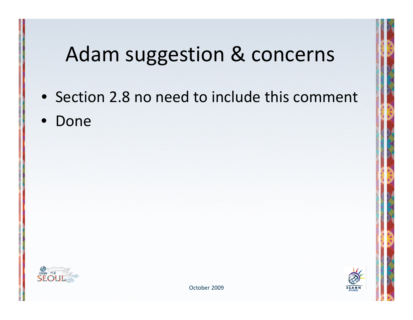- Section 2.8 no need to include this comment
- Done





October 2009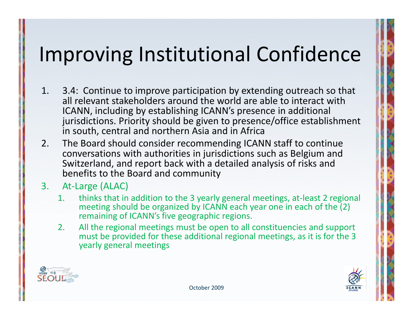- 1. 3.4: Continue to improve participation by extending outreach so that all relevant stakeholders around the world are able to interact with ICANN, including by establishing ICANN's presence in additional jurisdictions. Priority should be given to presence/office establishment in south, central and northern Asia and in Africa
- 2. The Board should consider recommending ICANN staff to continue conversations with authorities in jurisdictions such as Belgium and Switzerland, and report back with <sup>a</sup> detailed analysis of risks and benefits to the Board and community

#### 3.At‐Large (ALAC)

- 1. thinks that in addition to the 3 yearly general meetings, at‐least 2 regional meeting should be organized by ICANN each year one in each of the (2) remaining of ICANN's five geographic regions.
- 2. All the regional meetings must be open to all constituencies and support must be provided for these additional regional meetings, as it is for the 3 yearly general meetings



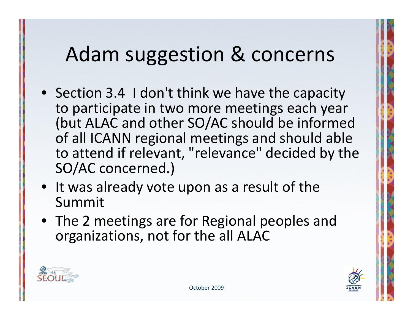- Section 3.4 I don't think we have the capacity to participate in two more meetings each year (but ALAC and other SO/AC should be informed of all ICANN regional meetings and should able to attend if relevant, "relevance" decided by the SO/AC concerned.)
- It was already vote upon as <sup>a</sup> result of the Summit
- The 2 meetings are for Regional peoples and organizations, not for the all ALAC



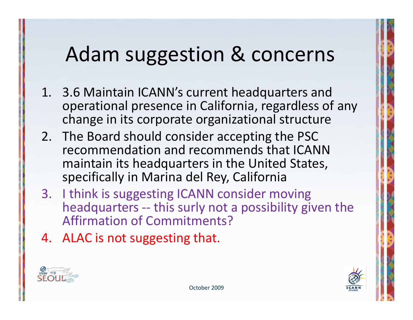- 1. 3.6 Maintain ICANN's current headquarters and operational presence in California, regardless of any change in its corporate organizational structure
- 2. The Board should consider accepting the PSC recommendation and recommends that ICANNmaintain its headquarters in the United States, specifically in Marina del Rey, California
- 3. I think is suggesting ICANN consider moving headquarters -- this surly not a possibility given the Affirmation of Commitments?
- 4. ALAC is not suggesting that.



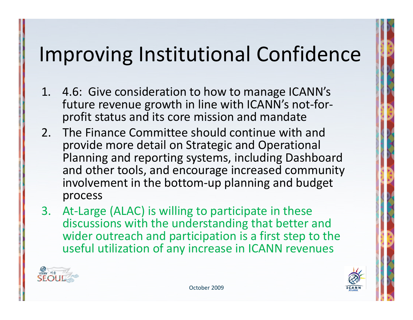- 1. 4.6: Give consideration to how to manage ICANN's future revenue growth in line with ICANN's not‐for‐ profit status and its core mission and mandate
- 2. The Finance Committee should continue with and provide more detail on Strategic and Operational Planning and reporting systems, including Dashboard and other tools, and encourage increased community involvement in the bottom‐up planning and budget process
- 3. At-Large (ALAC) is willing to participate in these discussions with the understanding that better and wider outreach and participation is <sup>a</sup> first step to the useful utilization of any increase in ICANN revenues



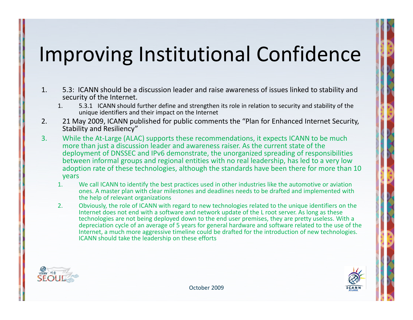- 1. 5.3: ICANN should be <sup>a</sup> discussion leader and raise awareness of issues linked to stability and security of the Internet.
	- 1. 5.3.1 ICANN should further define and strengthen its role in relation to security and stability of the unique identifiers and their impact on the Internet
- 2. 21 May 2009, ICANN published for public comments the "Plan for Enhanced Internet Security, Stability and Resiliency"
- 3.. While the At-Large (ALAC) supports these recommendations, it expects ICANN to be much more than just <sup>a</sup> discussion leader and awareness raiser. As the current state of the deployment of DNSSEC and IPv6 demonstrate, the unorganized spreading of responsibilities between informal groups and regional entities with no real leadership, has led to <sup>a</sup> very low adoption rate of these technologies, although the standards have been there for more than 10 years
	- 1. We call ICANN to identify the best practices used in other industries like the automotive or aviation ones. A master plan with clear milestones and deadlines needs to be drafted and implemented with the help of relevant organizations
	- 2. Obviously, the role of ICANN with regard to new technologies related to the unique identifiers on the Internet does not end with <sup>a</sup> software and network update of the L root server. As long as these technologies are not being deployed down to the end user premises, they are pretty useless. With <sup>a</sup> depreciation cycle of an average of 5 years for general hardware and software related to the use of the Internet, <sup>a</sup> much more aggressive timeline could be drafted for the introduction of new technologies. ICANN should take the leadership on these efforts



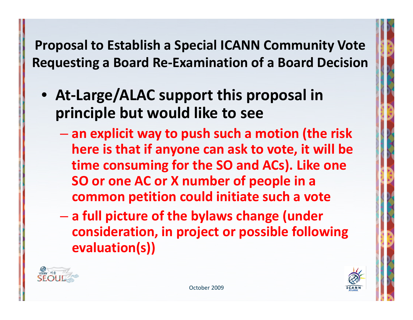**Proposal to Establish <sup>a</sup> Special ICANN Community Vote Requesting <sup>a</sup> Board Re‐Examination of <sup>a</sup> Board Decision**

- **At‐Large/ALAC support this proposal in principle but would like to see**
	- **an explicit way to push such <sup>a</sup> motion (the risk here is that if anyone can ask to vote, it will be time consuming for the SO and ACs). Like one SO or one AC or X number of people in <sup>a</sup> common petition could initiate such <sup>a</sup> vote**
	- $\mathcal{L}_{\mathcal{A}}$  , and the set of the set of the set of the set of the set of the set of the set of the set of the set of the set of the set of the set of the set of the set of the set of the set of the set of the set of th **<sup>a</sup> full picture of the bylaws change (under consideration, in project or possible following evaluation(s))**



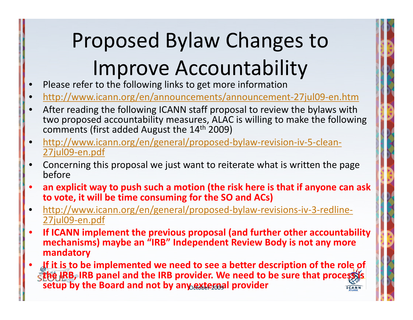# Proposed Bylaw Changes to Improve Accountability

- •• Please refer to the following links to get more information
- •● [http://www.icann.org/en/announcements/announcement](http://www.icann.org/en/announcements/announcement-27jul09-en.htm)-27jul09-en.htm
- • After reading the following ICANN staff proposal to review the bylaws with two proposed accountability measures, ALAC is willing to make the following comments (first added August the 14<sup>th</sup> 2009)
- •• [http://www.icann.org/en/general/proposed](http://www.icann.org/en/general/proposed-bylaw-revision-iv-5-clean-27jul09-en.pdf)-bylaw-revision-iv-5-clean-<u>[27jul09](http://www.icann.org/en/general/proposed-bylaw-revision-iv-5-clean-27jul09-en.pdf)-en.pdf</u>
- • Concerning this proposal we just want to reiterate what is written the page before
- $\bullet$  **an explicit way to push such a motion (the risk here is that if anyone can ask to vote, it will be time consuming for the SO and ACs)**
- •• [http://www.icann.org/en/general/proposed](http://www.icann.org/en/general/proposed-bylaw-revisions-iv-3-redline-27jul09-en.pdf)-bylaw-revisions-iv-3-redline-<u>[27jul09](http://www.icann.org/en/general/proposed-bylaw-revisions-iv-3-redline-27jul09-en.pdf)-en.pdf</u>
- • **If ICANN implement the previous proposal (and further other accountability mechanisms) maybe an "IRB" Independent Review Body is not any more mandatory**
- • **If it is to be implemented we need to see a better description of the role of the IRB, IRB panel and the IRB provider. We need to be sure that process is** *setup* by the Board and not by any extendal provider